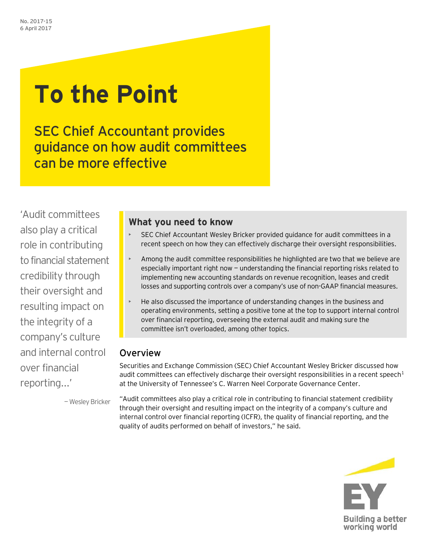# **To the Point**

SEC Chief Accountant provides guidance on how audit committees can be more effective

'Audit committees also play a critical role in contributing to financial statement credibility through their oversight and resulting impact on the integrity of a company's culture and internal control over financial reporting...'

— Wesley Bricker

# **What you need to know**

- SEC Chief Accountant Wesley Bricker provided guidance for audit committees in a recent speech on how they can effectively discharge their oversight responsibilities.
- Among the audit committee responsibilities he highlighted are two that we believe are especially important right now — understanding the financial reporting risks related to implementing new accounting standards on revenue recognition, leases and credit losses and supporting controls over a company's use of non-GAAP financial measures.
- He also discussed the importance of understanding changes in the business and operating environments, setting a positive tone at the top to support internal control over financial reporting, overseeing the external audit and making sure the committee isn't overloaded, among other topics.

# Overview

Securities and Exchange Commission (SEC) Chief Accountant Wesley Bricker discussed how audit committees can effectively discharge their oversight responsibilities in a recent speech<sup>[1](#page-3-0)</sup> at the University of Tennessee's C. Warren Neel Corporate Governance Center.

"Audit committees also play a critical role in contributing to financial statement credibility through their oversight and resulting impact on the integrity of a company's culture and internal control over financial reporting (ICFR), the quality of financial reporting, and the quality of audits performed on behalf of investors," he said.

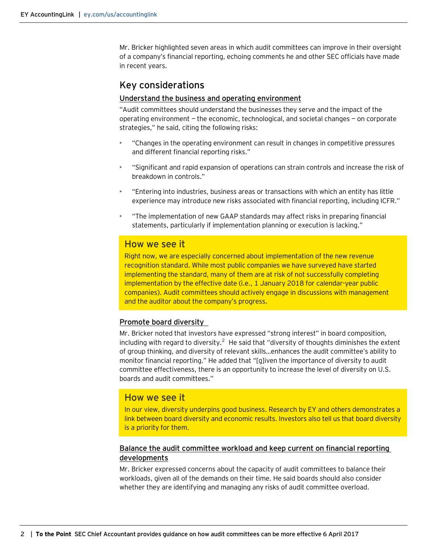Mr. Bricker highlighted seven areas in which audit committees can improve in their oversight of a company's financial reporting, echoing comments he and other SEC officials have made in recent years.

## Key considerations

#### Understand the business and operating environment

"Audit committees should understand the businesses they serve and the impact of the operating environment — the economic, technological, and societal changes — on corporate strategies," he said, citing the following risks:

- "Changes in the operating environment can result in changes in competitive pressures and different financial reporting risks."
- "Significant and rapid expansion of operations can strain controls and increase the risk of breakdown in controls."
- "Entering into industries, business areas or transactions with which an entity has little experience may introduce new risks associated with financial reporting, including ICFR."
- "The implementation of new GAAP standards may affect risks in preparing financial statements, particularly if implementation planning or execution is lacking."

## How we see it

Right now, we are especially concerned about implementation of the new revenue recognition standard. While most public companies we have surveyed have started implementing the standard, many of them are at risk of not successfully completing implementation by the effective date (i.e., 1 January 2018 for calendar-year public companies). Audit committees should actively engage in discussions with management and the auditor about the company's progress.

## Promote board diversity

Mr. Bricker noted that investors have expressed "strong interest" in board composition, including with regard to diversity. $2$  He said that "diversity of thoughts diminishes the extent of group thinking, and diversity of relevant skills…enhances the audit committee's ability to monitor financial reporting." He added that "[g]iven the importance of diversity to audit committee effectiveness, there is an opportunity to increase the level of diversity on U.S. boards and audit committees."

## How we see it

In our view, diversity underpins good business. Research by EY and others demonstrates a link between board diversity and economic results. Investors also tell us that board diversity is a priority for them.

## Balance the audit committee workload and keep current on financial reporting developments

Mr. Bricker expressed concerns about the capacity of audit committees to balance their workloads, given all of the demands on their time. He said boards should also consider whether they are identifying and managing any risks of audit committee overload.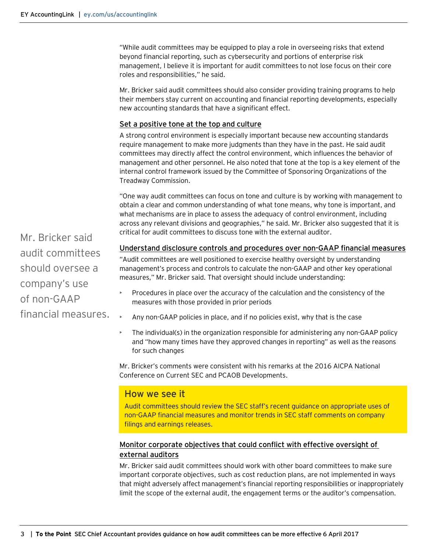"While audit committees may be equipped to play a role in overseeing risks that extend beyond financial reporting, such as cybersecurity and portions of enterprise risk management, I believe it is important for audit committees to not lose focus on their core roles and responsibilities," he said.

Mr. Bricker said audit committees should also consider providing training programs to help their members stay current on accounting and financial reporting developments, especially new accounting standards that have a significant effect.

## Set a positive tone at the top and culture

A strong control environment is especially important because new accounting standards require management to make more judgments than they have in the past. He said audit committees may directly affect the control environment, which influences the behavior of management and other personnel. He also noted that tone at the top is a key element of the internal control framework issued by the Committee of Sponsoring Organizations of the Treadway Commission.

"One way audit committees can focus on tone and culture is by working with management to obtain a clear and common understanding of what tone means, why tone is important, and what mechanisms are in place to assess the adequacy of control environment, including across any relevant divisions and geographies," he said. Mr. Bricker also suggested that it is critical for audit committees to discuss tone with the external auditor.

Mr. Bricker said audit committees should oversee a company's use of non-GAAP financial measures.

#### Understand disclosure controls and procedures over non-GAAP financial measures

"Audit committees are well positioned to exercise healthy oversight by understanding management's process and controls to calculate the non-GAAP and other key operational measures," Mr. Bricker said. That oversight should include understanding:

- Procedures in place over the accuracy of the calculation and the consistency of the measures with those provided in prior periods
- Any non-GAAP policies in place, and if no policies exist, why that is the case
- The individual(s) in the organization responsible for administering any non-GAAP policy and "how many times have they approved changes in reporting" as well as the reasons for such changes

Mr. Bricker's comments were consistent with his remarks at the 2016 AICPA National Conference on Current SEC and PCAOB Developments.

## How we see it

Audit committees should review the SEC staff's recent guidance on appropriate uses of non-GAAP financial measures and monitor trends in SEC staff comments on company filings and earnings releases.

## Monitor corporate objectives that could conflict with effective oversight of external auditors

Mr. Bricker said audit committees should work with other board committees to make sure important corporate objectives, such as cost reduction plans, are not implemented in ways that might adversely affect management's financial reporting responsibilities or inappropriately limit the scope of the external audit, the engagement terms or the auditor's compensation.